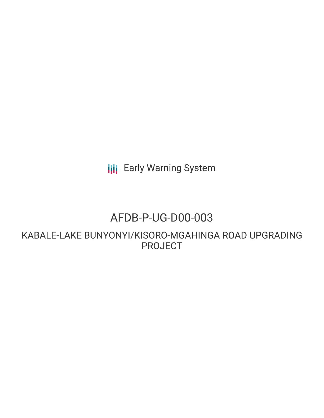**III** Early Warning System

## AFDB-P-UG-D00-003

KABALE-LAKE BUNYONYI/KISORO-MGAHINGA ROAD UPGRADING PROJECT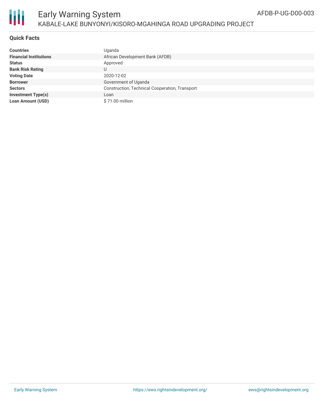

## Early Warning System KABALE-LAKE BUNYONYI/KISORO-MGAHINGA ROAD UPGRADING PROJECT

## **Quick Facts**

| <b>Countries</b>              | Uganda                                         |
|-------------------------------|------------------------------------------------|
| <b>Financial Institutions</b> | African Development Bank (AFDB)                |
| <b>Status</b>                 | Approved                                       |
| <b>Bank Risk Rating</b>       | U                                              |
| <b>Voting Date</b>            | 2020-12-02                                     |
| <b>Borrower</b>               | Government of Uganda                           |
| <b>Sectors</b>                | Construction, Technical Cooperation, Transport |
| <b>Investment Type(s)</b>     | Loan                                           |
| <b>Loan Amount (USD)</b>      | \$71.00 million                                |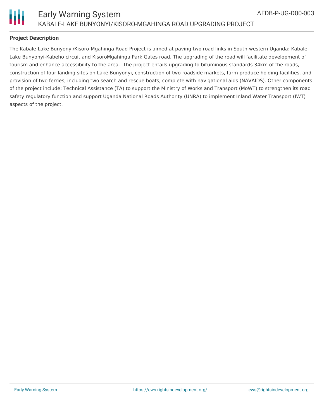

## **Project Description**

The Kabale-Lake Bunyonyi/Kisoro-Mgahinga Road Project is aimed at paving two road links in South-western Uganda: Kabale-Lake Bunyonyi-Kabeho circuit and KisoroMgahinga Park Gates road. The upgrading of the road will facilitate development of tourism and enhance accessibility to the area. The project entails upgrading to bituminous standards 34km of the roads, construction of four landing sites on Lake Bunyonyi, construction of two roadside markets, farm produce holding facilities, and provision of two ferries, including two search and rescue boats, complete with navigational aids (NAVAIDS). Other components of the project include: Technical Assistance (TA) to support the Ministry of Works and Transport (MoWT) to strengthen its road safety regulatory function and support Uganda National Roads Authority (UNRA) to implement Inland Water Transport (IWT) aspects of the project.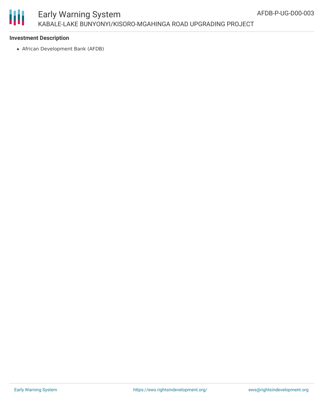# 圃

## Early Warning System KABALE-LAKE BUNYONYI/KISORO-MGAHINGA ROAD UPGRADING PROJECT

## **Investment Description**

African Development Bank (AFDB)